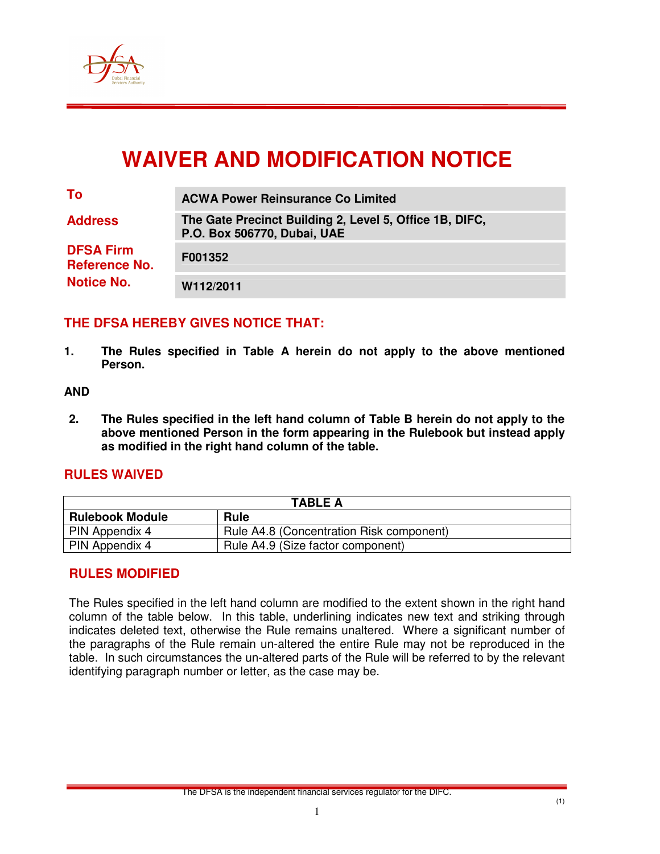

# **WAIVER AND MODIFICATION NOTICE**

| To                                                            | <b>ACWA Power Reinsurance Co Limited</b>                                               |  |  |
|---------------------------------------------------------------|----------------------------------------------------------------------------------------|--|--|
| <b>Address</b>                                                | The Gate Precinct Building 2, Level 5, Office 1B, DIFC,<br>P.O. Box 506770, Dubai, UAE |  |  |
| <b>DFSA Firm</b><br><b>Reference No.</b><br><b>Notice No.</b> | F001352                                                                                |  |  |
|                                                               | W112/2011                                                                              |  |  |

## **THE DFSA HEREBY GIVES NOTICE THAT:**

**1. The Rules specified in Table A herein do not apply to the above mentioned Person.** 

#### **AND**

**2. The Rules specified in the left hand column of Table B herein do not apply to the above mentioned Person in the form appearing in the Rulebook but instead apply as modified in the right hand column of the table.** 

#### **RULES WAIVED**

| <b>TABLE A</b>         |                                          |  |  |
|------------------------|------------------------------------------|--|--|
| <b>Rulebook Module</b> | <b>Rule</b>                              |  |  |
| <b>PIN Appendix 4</b>  | Rule A4.8 (Concentration Risk component) |  |  |
| PIN Appendix 4         | Rule A4.9 (Size factor component)        |  |  |

## **RULES MODIFIED**

The Rules specified in the left hand column are modified to the extent shown in the right hand column of the table below. In this table, underlining indicates new text and striking through indicates deleted text, otherwise the Rule remains unaltered. Where a significant number of the paragraphs of the Rule remain un-altered the entire Rule may not be reproduced in the table. In such circumstances the un-altered parts of the Rule will be referred to by the relevant identifying paragraph number or letter, as the case may be.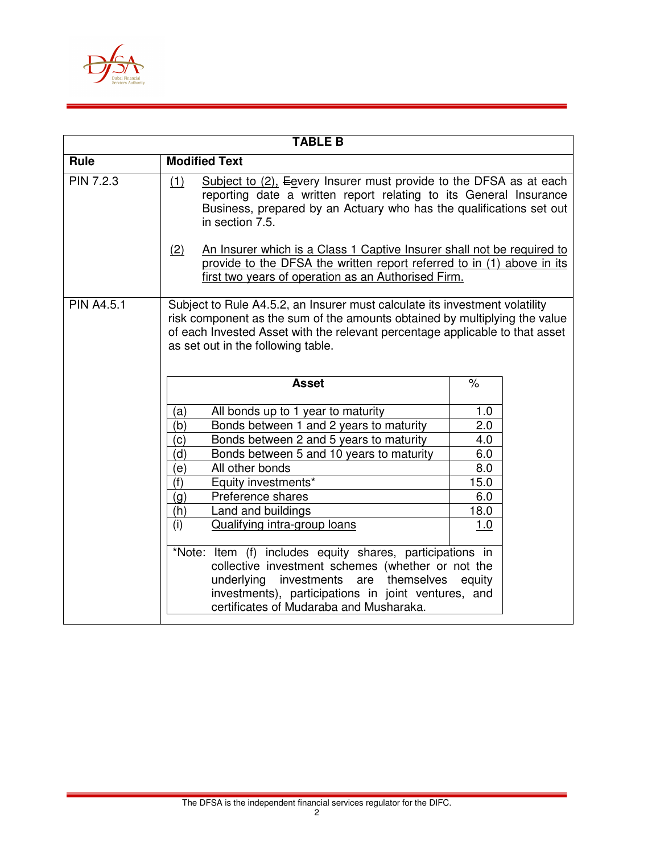

|                   | <b>TABLE B</b>                                                                                                                                                                                                                                                                  |                  |  |
|-------------------|---------------------------------------------------------------------------------------------------------------------------------------------------------------------------------------------------------------------------------------------------------------------------------|------------------|--|
| Rule              | <b>Modified Text</b>                                                                                                                                                                                                                                                            |                  |  |
| PIN 7.2.3         | Subject to $(2)$ . Egvery Insurer must provide to the DFSA as at each<br>(1)<br>reporting date a written report relating to its General Insurance<br>Business, prepared by an Actuary who has the qualifications set out<br>in section 7.5.                                     |                  |  |
|                   | An Insurer which is a Class 1 Captive Insurer shall not be required to<br>(2)<br>provide to the DFSA the written report referred to in (1) above in its<br>first two years of operation as an Authorised Firm.                                                                  |                  |  |
| <b>PIN A4.5.1</b> | Subject to Rule A4.5.2, an Insurer must calculate its investment volatility<br>risk component as the sum of the amounts obtained by multiplying the value<br>of each Invested Asset with the relevant percentage applicable to that asset<br>as set out in the following table. |                  |  |
|                   | <b>Asset</b>                                                                                                                                                                                                                                                                    | $\%$             |  |
|                   | All bonds up to 1 year to maturity<br>(a)                                                                                                                                                                                                                                       | 1.0              |  |
|                   | Bonds between 1 and 2 years to maturity<br>(b)                                                                                                                                                                                                                                  | $\overline{2.0}$ |  |
|                   | Bonds between 2 and 5 years to maturity<br>(c)                                                                                                                                                                                                                                  | 4.0              |  |
|                   | (d)<br>Bonds between 5 and 10 years to maturity                                                                                                                                                                                                                                 | 6.0              |  |
|                   | (e)<br>All other bonds                                                                                                                                                                                                                                                          | 8.0              |  |
|                   | (f)<br>Equity investments*                                                                                                                                                                                                                                                      | 15.0             |  |
|                   | Preference shares<br>(g)                                                                                                                                                                                                                                                        | 6.0              |  |
|                   | Land and buildings<br>(h)                                                                                                                                                                                                                                                       | 18.0             |  |
|                   | (i)<br>Qualifying intra-group loans                                                                                                                                                                                                                                             | 1.0              |  |
|                   | *Note: Item (f) includes equity shares, participations in<br>collective investment schemes (whether or not the<br>underlying<br>investments are<br>themselves<br>investments), participations in joint ventures, and<br>certificates of Mudaraba and Musharaka.                 | equity           |  |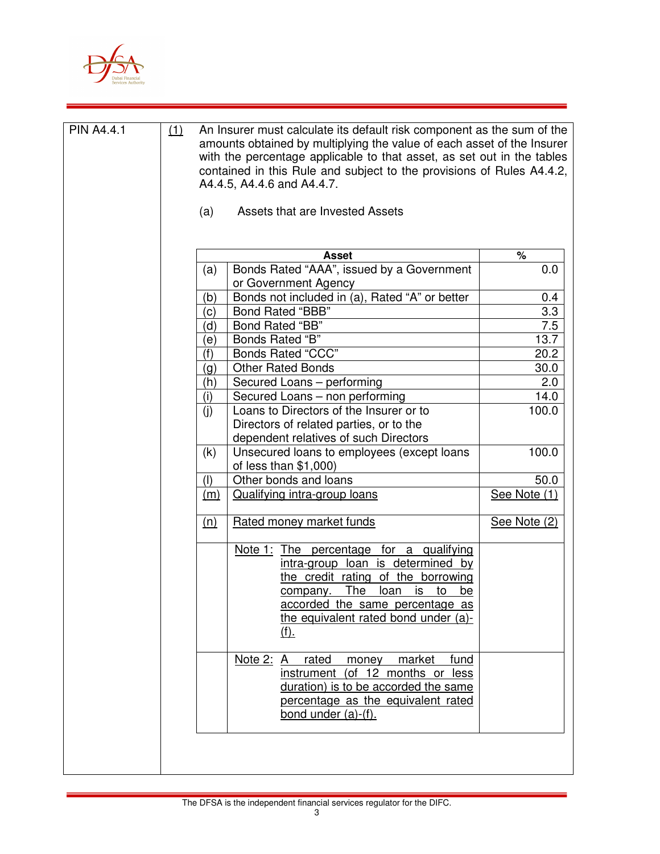

| <b>PIN A4.4.1</b> | (1) | An Insurer must calculate its default risk component as the sum of the<br>amounts obtained by multiplying the value of each asset of the Insurer<br>with the percentage applicable to that asset, as set out in the tables<br>contained in this Rule and subject to the provisions of Rules A4.4.2,<br>A4.4.5, A4.4.6 and A4.4.7. |                                                                                                                                                                                                                                                              |               |
|-------------------|-----|-----------------------------------------------------------------------------------------------------------------------------------------------------------------------------------------------------------------------------------------------------------------------------------------------------------------------------------|--------------------------------------------------------------------------------------------------------------------------------------------------------------------------------------------------------------------------------------------------------------|---------------|
|                   |     | (a)                                                                                                                                                                                                                                                                                                                               | Assets that are Invested Assets                                                                                                                                                                                                                              |               |
|                   |     |                                                                                                                                                                                                                                                                                                                                   | <b>Asset</b>                                                                                                                                                                                                                                                 | %             |
|                   |     | (a)                                                                                                                                                                                                                                                                                                                               | Bonds Rated "AAA", issued by a Government                                                                                                                                                                                                                    | 0.0           |
|                   |     |                                                                                                                                                                                                                                                                                                                                   | or Government Agency                                                                                                                                                                                                                                         |               |
|                   |     | (b)                                                                                                                                                                                                                                                                                                                               | Bonds not included in (a), Rated "A" or better                                                                                                                                                                                                               | 0.4           |
|                   |     | (c)                                                                                                                                                                                                                                                                                                                               | <b>Bond Rated "BBB"</b>                                                                                                                                                                                                                                      | 3.3           |
|                   |     | (d)                                                                                                                                                                                                                                                                                                                               | Bond Rated "BB"                                                                                                                                                                                                                                              | 7.5           |
|                   |     | (e)                                                                                                                                                                                                                                                                                                                               | Bonds Rated "B"                                                                                                                                                                                                                                              | 13.7          |
|                   |     | (f)                                                                                                                                                                                                                                                                                                                               | <b>Bonds Rated "CCC"</b>                                                                                                                                                                                                                                     | 20.2          |
|                   |     | (g)                                                                                                                                                                                                                                                                                                                               | <b>Other Rated Bonds</b>                                                                                                                                                                                                                                     | 30.0          |
|                   |     | (h)                                                                                                                                                                                                                                                                                                                               | Secured Loans - performing                                                                                                                                                                                                                                   | 2.0           |
|                   |     | (i)                                                                                                                                                                                                                                                                                                                               | Secured Loans - non performing<br>Loans to Directors of the Insurer or to                                                                                                                                                                                    | 14.0<br>100.0 |
|                   |     | (i)                                                                                                                                                                                                                                                                                                                               | Directors of related parties, or to the<br>dependent relatives of such Directors                                                                                                                                                                             |               |
|                   |     | (k)                                                                                                                                                                                                                                                                                                                               | Unsecured loans to employees (except loans<br>of less than $$1,000$                                                                                                                                                                                          | 100.0         |
|                   |     | (1)                                                                                                                                                                                                                                                                                                                               | Other bonds and loans                                                                                                                                                                                                                                        | 50.0          |
|                   |     | (m)                                                                                                                                                                                                                                                                                                                               | <b>Qualifying intra-group loans</b>                                                                                                                                                                                                                          | See Note (1)  |
|                   |     | (n)                                                                                                                                                                                                                                                                                                                               | <b>Rated money market funds</b>                                                                                                                                                                                                                              | See Note (2)  |
|                   |     |                                                                                                                                                                                                                                                                                                                                   | Note 1: The percentage for a qualifying<br>intra-group loan is determined by<br>the credit rating of the borrowing<br><u>The</u><br>loan<br>is<br>to<br>be<br>company.<br>accorded the same percentage as<br>the equivalent rated bond under (a)-<br>$(f)$ . |               |
|                   |     |                                                                                                                                                                                                                                                                                                                                   | Note 2:<br>rated<br>market<br>money<br>fund<br>A<br>instrument (of 12 months or less<br>duration) is to be accorded the same<br>percentage as the equivalent rated<br>bond under $(a)-(f)$ .                                                                 |               |
|                   |     |                                                                                                                                                                                                                                                                                                                                   |                                                                                                                                                                                                                                                              |               |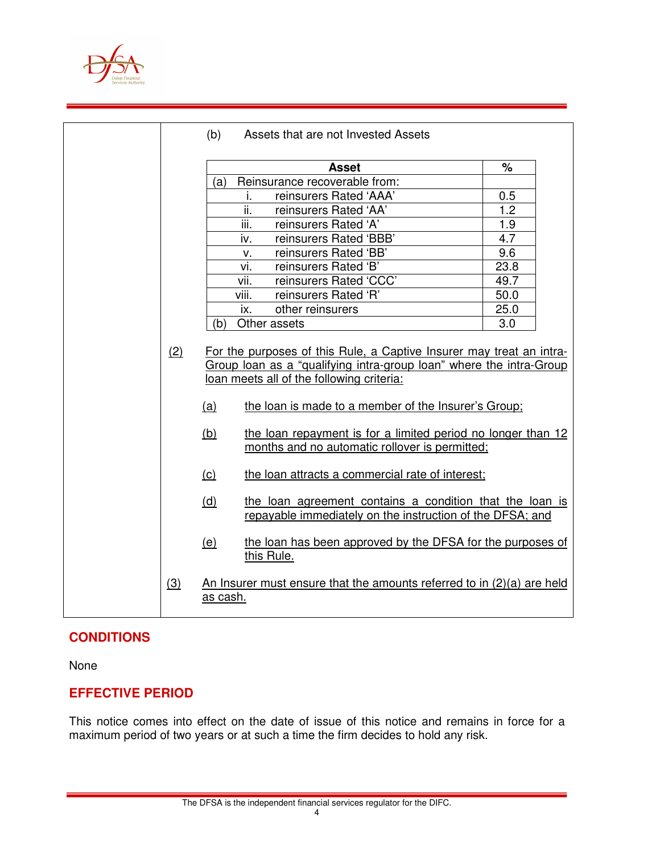

|     | (b)      | Assets that are not Invested Assets                                                                                                                                                                                                              |                      |  |
|-----|----------|--------------------------------------------------------------------------------------------------------------------------------------------------------------------------------------------------------------------------------------------------|----------------------|--|
|     |          | <b>Asset</b>                                                                                                                                                                                                                                     | $\frac{1}{\sqrt{2}}$ |  |
|     | (a)      | Reinsurance recoverable from:                                                                                                                                                                                                                    |                      |  |
|     |          | reinsurers Rated 'AAA'<br>j.                                                                                                                                                                                                                     | 0.5                  |  |
|     |          | ii.<br>reinsurers Rated 'AA'                                                                                                                                                                                                                     | 1.2                  |  |
|     |          | iii.<br>reinsurers Rated 'A'                                                                                                                                                                                                                     | 1.9                  |  |
|     |          | reinsurers Rated 'BBB'<br>iv.                                                                                                                                                                                                                    | 4.7                  |  |
|     |          | reinsurers Rated 'BB'<br>v.                                                                                                                                                                                                                      | 9.6                  |  |
|     |          | reinsurers Rated 'B'<br>vi.                                                                                                                                                                                                                      | 23.8                 |  |
|     |          | reinsurers Rated 'CCC'<br>vii.                                                                                                                                                                                                                   | 49.7                 |  |
|     |          | reinsurers Rated 'R'<br>viii.                                                                                                                                                                                                                    | 50.0                 |  |
|     |          | other reinsurers<br>ix.                                                                                                                                                                                                                          | 25.0                 |  |
|     | (b)      | Other assets                                                                                                                                                                                                                                     | 3.0                  |  |
| (2) | (a)      | For the purposes of this Rule, a Captive Insurer may treat an intra-<br>Group loan as a "qualifying intra-group loan" where the intra-Group<br>loan meets all of the following criteria:<br>the loan is made to a member of the Insurer's Group; |                      |  |
|     | (b)      | the loan repayment is for a limited period no longer than 12<br>months and no automatic rollover is permitted;                                                                                                                                   |                      |  |
|     | (c)      | the loan attracts a commercial rate of interest;                                                                                                                                                                                                 |                      |  |
|     | (d)      | the loan agreement contains a condition that the loan is<br>repayable immediately on the instruction of the DFSA; and                                                                                                                            |                      |  |
|     | (e)      | the loan has been approved by the DFSA for the purposes of<br>this Rule.                                                                                                                                                                         |                      |  |
| (3) | as cash. | An Insurer must ensure that the amounts referred to in (2)(a) are held                                                                                                                                                                           |                      |  |

# **CONDITIONS**

None

# **EFFECTIVE PERIOD**

This notice comes into effect on the date of issue of this notice and remains in force for a maximum period of two years or at such a time the firm decides to hold any risk.